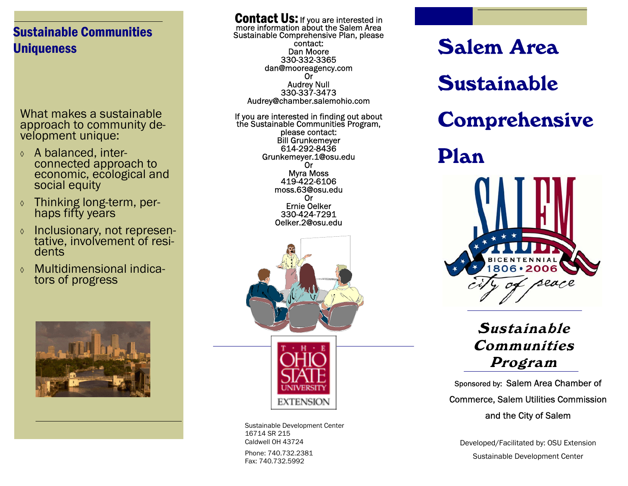# Sustainable Communities **Uniqueness**

What makes a sustainable approach to community development unique:

- ◊ A balanced, interconnected approach to economic, ecological and social equity
- ◊ Thinking long-term, per- haps fifty years
- ◊ Inclusionary, not represen- tative, involvement of residents
- ◊ Multidimensional indicators of progress



**Contact Us:** If you are interested in more information about the Salem Area<br>Sustainable Comprehensive Plan, please contact: Dan Moore 330-332-3365 dan@mooreagency.com Or Audrey Null 330-337-3473 Audrey@chamber.salemohio.com

 If you are interested in finding out about the Sustainable Communities Program, please contact: Bill Grunkemeyer 614-292-8436 Grunkemeyer.1@osu.edu Or Myra Moss 419-422-6106 moss.63@osu.edu Or Ernie Oelker 330-424-7291 Oelker.2@osu.edu



Phone: 740.732.2381 Fax: 740.732.5992 Sustainable Development Center 16714 SR 215 Caldwell OH 43724

Salem Area Sustainable Comprehensive Plan



Sustainable Communities Program

Sponsored by: Salem Area Chamber of Commerce, Salem Utilities Commission and the City of Salem

Developed/Facilitated by: OSU Extension Sustainable Development Center